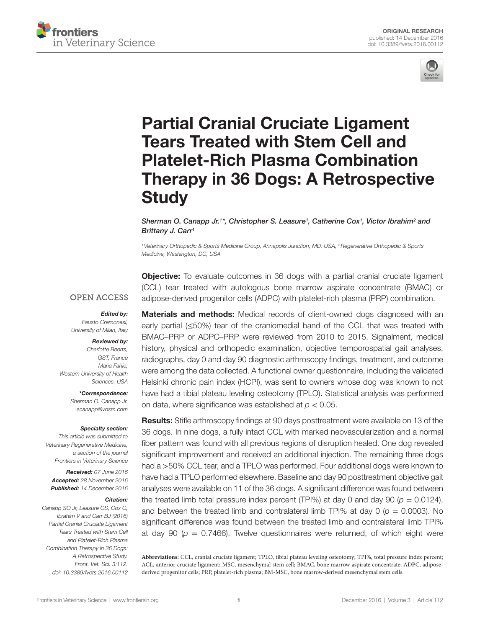



# **Partial Cranial Cruciate Ligament Tears Treated with Stem Cell and Platelet-Rich Plasma Combination** Therapy in 36 Dogs: A Retrospective **Study**

*Sherman O. Canapp Jr.<sup>1\*</sup>, Christopher S. Leasure<sup>1</sup>, Catherine Cox<sup>1</sup>, Victor Ibrahim<sup>2</sup> and [Brittany J. Carr1](http://loop.frontiersin.org/people/279135)*

*1Veterinary Orthopedic & Sports Medicine Group, Annapolis Junction, MD, USA, 2Regenerative Orthopedic & Sports Medicine, Washington, DC, USA*

**Objective:** To evaluate outcomes in 36 dogs with a partial cranial cruciate ligament (CCL) tear treated with autologous bone marrow aspirate concentrate (BMAC) or adipose-derived progenitor cells (ADPC) with platelet-rich plasma (PRP) combination.

#### **OPEN ACCESS**

#### *Edited by:*

*Fausto Cremonesi, University of Milan, Italy*

#### *Reviewed by:*

*Charlotte Beerts, GST, France Maria Fahie, Western University of Health Sciences, USA*

> *\*Correspondence: Sherman O. Canapp Jr. [scanapp@vosm.com](mailto:scanapp@vosm.com)*

#### *Specialty section:*

*This article was submitted to Veterinary Regenerative Medicine, a section of the journal Frontiers in Veterinary Science*

*Received: 07 June 2016 Accepted: 28 November 2016 Published: 14 December 2016*

#### *Citation:*

*Canapp SO Jr, Leasure CS, Cox C, Ibrahim V and Carr BJ (2016) Partial Cranial Cruciate Ligament Tears Treated with Stem Cell and Platelet-Rich Plasma Combination Therapy in 36 Dogs: A Retrospective Study. Front. Vet. Sci. 3:112. doi: [10.3389/fvets.2016.00112](https://doi.org/10.3389/fvets.2016.00112)* **Materials and methods:** Medical records of client-owned dogs diagnosed with an early partial (≤50%) tear of the craniomedial band of the CCL that was treated with BMAC–PRP or ADPC–PRP were reviewed from 2010 to 2015. Signalment, medical history, physical and orthopedic examination, objective temporospatial gait analyses, radiographs, day 0 and day 90 diagnostic arthroscopy findings, treatment, and outcome were among the data collected. A functional owner questionnaire, including the validated Helsinki chronic pain index (HCPI), was sent to owners whose dog was known to not have had a tibial plateau leveling osteotomy (TPLO). Statistical analysis was performed on data, where significance was established at *p* < 0.05.

**Results:** Stifle arthroscopy findings at 90 days posttreatment were available on 13 of the 36 dogs. In nine dogs, a fully intact CCL with marked neovascularization and a normal fiber pattern was found with all previous regions of disruption healed. One dog revealed significant improvement and received an additional injection. The remaining three dogs had a >50% CCL tear, and a TPLO was performed. Four additional dogs were known to have had a TPLO performed elsewhere. Baseline and day 90 posttreatment objective gait analyses were available on 11 of the 36 dogs. A significant difference was found between the treated limb total pressure index percent (TPI%) at day 0 and day 90 ( $p = 0.0124$ ), and between the treated limb and contralateral limb TPI% at day  $0 \ (p = 0.0003)$ . No significant difference was found between the treated limb and contralateral limb TPI% at day 90 ( $p = 0.7466$ ). Twelve questionnaires were returned, of which eight were

**Abbreviations:** CCL, cranial cruciate ligament; TPLO, tibial plateau leveling osteotomy; TPI%, total pressure index percent; ACL, anterior cruciate ligament; MSC, mesenchymal stem cell; BMAC, bone marrow aspirate concentrate; ADPC, adiposederived progenitor cells; PRP, platelet-rich plasma; BM-MSC, bone marrow-derived mesenchymal stem cells.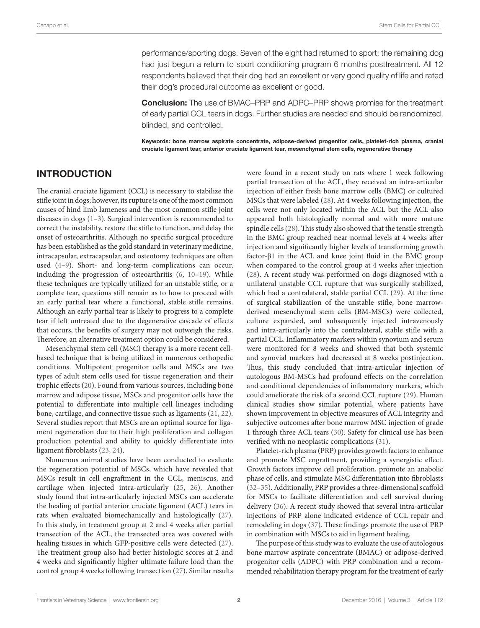performance/sporting dogs. Seven of the eight had returned to sport; the remaining dog had just begun a return to sport conditioning program 6 months posttreatment. All 12 respondents believed that their dog had an excellent or very good quality of life and rated their dog's procedural outcome as excellent or good.

**Conclusion:** The use of BMAC–PRP and ADPC–PRP shows promise for the treatment of early partial CCL tears in dogs. Further studies are needed and should be randomized, blinded, and controlled.

Keywords: bone marrow aspirate concentrate, adipose-derived progenitor cells, platelet-rich plasma, cranial cruciate ligament tear, anterior cruciate ligament tear, mesenchymal stem cells, regenerative therapy

# INTRODUCTION

The cranial cruciate ligament (CCL) is necessary to stabilize the stifle joint in dogs; however, its rupture is one of the most common causes of hind limb lameness and the most common stifle joint diseases in dogs ([1](#page-7-0)[–3\)](#page-7-1). Surgical intervention is recommended to correct the instability, restore the stifle to function, and delay the onset of osteoarthritis. Although no specific surgical procedure has been established as the gold standard in veterinary medicine, intracapsular, extracapsular, and osteotomy techniques are often used ([4](#page-7-2)[–9\)](#page-7-3). Short- and long-term complications can occur, including the progression of osteoarthritis ([6](#page-7-4), [10–](#page-8-0)[19](#page-8-1)). While these techniques are typically utilized for an unstable stifle, or a complete tear, questions still remain as to how to proceed with an early partial tear where a functional, stable stifle remains. Although an early partial tear is likely to progress to a complete tear if left untreated due to the degenerative cascade of effects that occurs, the benefits of surgery may not outweigh the risks. Therefore, an alternative treatment option could be considered.

Mesenchymal stem cell (MSC) therapy is a more recent cellbased technique that is being utilized in numerous orthopedic conditions. Multipotent progenitor cells and MSCs are two types of adult stem cells used for tissue regeneration and their trophic effects ([20\)](#page-8-2). Found from various sources, including bone marrow and adipose tissue, MSCs and progenitor cells have the potential to differentiate into multiple cell lineages including bone, cartilage, and connective tissue such as ligaments ([21](#page-8-3), [22\)](#page-8-4). Several studies report that MSCs are an optimal source for ligament regeneration due to their high proliferation and collagen production potential and ability to quickly differentiate into ligament fibroblasts ([23](#page-8-5), [24\)](#page-8-6).

Numerous animal studies have been conducted to evaluate the regeneration potential of MSCs, which have revealed that MSCs result in cell engraftment in the CCL, meniscus, and cartilage when injected intra-articularly ([25,](#page-8-7) [26](#page-8-8)). Another study found that intra-articularly injected MSCs can accelerate the healing of partial anterior cruciate ligament (ACL) tears in rats when evaluated biomechanically and histologically [\(27\)](#page-8-9). In this study, in treatment group at 2 and 4 weeks after partial transection of the ACL, the transected area was covered with healing tissues in which GFP-positive cells were detected [\(27\)](#page-8-9). The treatment group also had better histologic scores at 2 and 4 weeks and significantly higher ultimate failure load than the control group 4 weeks following transection ([27](#page-8-9)). Similar results

were found in a recent study on rats where 1 week following partial transection of the ACL, they received an intra-articular injection of either fresh bone marrow cells (BMC) or cultured MSCs that were labeled [\(28\)](#page-8-10). At 4 weeks following injection, the cells were not only located within the ACL but the ACL also appeared both histologically normal and with more mature spindle cells [\(28](#page-8-10)). This study also showed that the tensile strength in the BMC group reached near normal levels at 4 weeks after injection and significantly higher levels of transforming growth factor-β1 in the ACL and knee joint fluid in the BMC group when compared to the control group at 4 weeks after injection [\(28\)](#page-8-10). A recent study was performed on dogs diagnosed with a unilateral unstable CCL rupture that was surgically stabilized, which had a contralateral, stable partial CCL ([29\)](#page-8-11). At the time of surgical stabilization of the unstable stifle, bone marrowderived mesenchymal stem cells (BM-MSCs) were collected, culture expanded, and subsequently injected intravenously and intra-articularly into the contralateral, stable stifle with a partial CCL. Inflammatory markers within synovium and serum were monitored for 8 weeks and showed that both systemic and synovial markers had decreased at 8 weeks postinjection. Thus, this study concluded that intra-articular injection of autologous BM-MSCs had profound effects on the correlation and conditional dependencies of inflammatory markers, which could ameliorate the risk of a second CCL rupture ([29\)](#page-8-11). Human clinical studies show similar potential, where patients have shown improvement in objective measures of ACL integrity and subjective outcomes after bone marrow MSC injection of grade 1 through three ACL tears ([30](#page-8-12)). Safety for clinical use has been verified with no neoplastic complications [\(31\)](#page-8-13).

Platelet-rich plasma (PRP) provides growth factors to enhance and promote MSC engraftment, providing a synergistic effect. Growth factors improve cell proliferation, promote an anabolic phase of cells, and stimulate MSC differentiation into fibroblasts [\(32](#page-8-14)[–35\)](#page-8-15). Additionally, PRP provides a three-dimensional scaffold for MSCs to facilitate differentiation and cell survival during delivery [\(36\)](#page-8-16). A recent study showed that several intra-articular injections of PRP alone indicated evidence of CCL repair and remodeling in dogs ([37\)](#page-8-17). These findings promote the use of PRP in combination with MSCs to aid in ligament healing.

The purpose of this study was to evaluate the use of autologous bone marrow aspirate concentrate (BMAC) or adipose-derived progenitor cells (ADPC) with PRP combination and a recommended rehabilitation therapy program for the treatment of early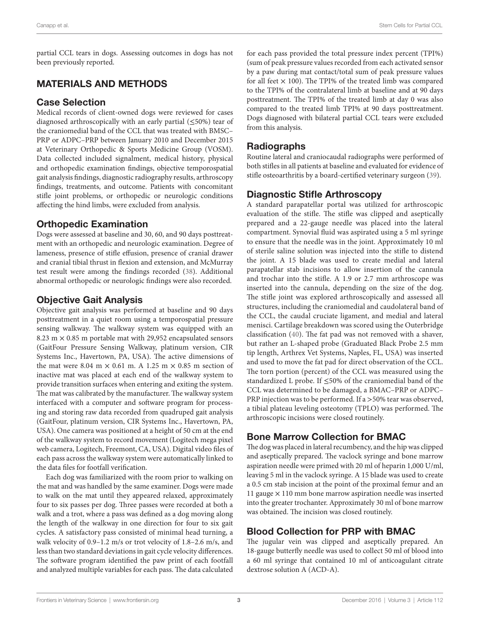partial CCL tears in dogs. Assessing outcomes in dogs has not been previously reported.

# MATERIALS AND METHODS

#### Case Selection

Medical records of client-owned dogs were reviewed for cases diagnosed arthroscopically with an early partial (≤50%) tear of the craniomedial band of the CCL that was treated with BMSC– PRP or ADPC–PRP between January 2010 and December 2015 at Veterinary Orthopedic & Sports Medicine Group (VOSM). Data collected included signalment, medical history, physical and orthopedic examination findings, objective temporospatial gait analysis findings, diagnostic radiography results, arthroscopy findings, treatments, and outcome. Patients with concomitant stifle joint problems, or orthopedic or neurologic conditions affecting the hind limbs, were excluded from analysis.

# Orthopedic Examination

Dogs were assessed at baseline and 30, 60, and 90 days posttreatment with an orthopedic and neurologic examination. Degree of lameness, presence of stifle effusion, presence of cranial drawer and cranial tibial thrust in flexion and extension, and McMurray test result were among the findings recorded [\(38](#page-8-18)). Additional abnormal orthopedic or neurologic findings were also recorded.

# Objective Gait Analysis

Objective gait analysis was performed at baseline and 90 days posttreatment in a quiet room using a temporospatial pressure sensing walkway. The walkway system was equipped with an 8.23 m  $\times$  0.85 m portable mat with 29,952 encapsulated sensors (GaitFour Pressure Sensing Walkway, platinum version, CIR Systems Inc., Havertown, PA, USA). The active dimensions of the mat were 8.04 m  $\times$  0.61 m. A 1.25 m  $\times$  0.85 m section of inactive mat was placed at each end of the walkway system to provide transition surfaces when entering and exiting the system. The mat was calibrated by the manufacturer. The walkway system interfaced with a computer and software program for processing and storing raw data recorded from quadruped gait analysis (GaitFour, platinum version, CIR Systems Inc., Havertown, PA, USA). One camera was positioned at a height of 50 cm at the end of the walkway system to record movement (Logitech mega pixel web camera, Logitech, Freemont, CA, USA). Digital video files of each pass across the walkway system were automatically linked to the data files for footfall verification.

Each dog was familiarized with the room prior to walking on the mat and was handled by the same examiner. Dogs were made to walk on the mat until they appeared relaxed, approximately four to six passes per dog. Three passes were recorded at both a walk and a trot, where a pass was defined as a dog moving along the length of the walkway in one direction for four to six gait cycles. A satisfactory pass consisted of minimal head turning, a walk velocity of 0.9–1.2 m/s or trot velocity of 1.8–2.6 m/s, and less than two standard deviations in gait cycle velocity differences. The software program identified the paw print of each footfall and analyzed multiple variables for each pass. The data calculated for each pass provided the total pressure index percent (TPI%) (sum of peak pressure values recorded from each activated sensor by a paw during mat contact/total sum of peak pressure values for all feet  $\times$  100). The TPI% of the treated limb was compared to the TPI% of the contralateral limb at baseline and at 90 days posttreatment. The TPI% of the treated limb at day 0 was also compared to the treated limb TPI% at 90 days posttreatment. Dogs diagnosed with bilateral partial CCL tears were excluded from this analysis.

# Radiographs

Routine lateral and craniocaudal radiographs were performed of both stifles in all patients at baseline and evaluated for evidence of stifle osteoarthritis by a board-certified veterinary surgeon ([39\)](#page-8-19).

# Diagnostic Stifle Arthroscopy

A standard parapatellar portal was utilized for arthroscopic evaluation of the stifle. The stifle was clipped and aseptically prepared and a 22-gauge needle was placed into the lateral compartment. Synovial fluid was aspirated using a 5 ml syringe to ensure that the needle was in the joint. Approximately 10 ml of sterile saline solution was injected into the stifle to distend the joint. A 15 blade was used to create medial and lateral parapatellar stab incisions to allow insertion of the cannula and trochar into the stifle. A 1.9 or 2.7 mm arthroscope was inserted into the cannula, depending on the size of the dog. The stifle joint was explored arthroscopically and assessed all structures, including the craniomedial and caudolateral band of the CCL, the caudal cruciate ligament, and medial and lateral menisci. Cartilage breakdown was scored using the Outerbridge classification ([40](#page-8-20)). The fat pad was not removed with a shaver, but rather an L-shaped probe (Graduated Black Probe 2.5 mm tip length, Arthrex Vet Systems, Naples, FL, USA) was inserted and used to move the fat pad for direct observation of the CCL. The torn portion (percent) of the CCL was measured using the standardized L probe. If ≤50% of the craniomedial band of the CCL was determined to be damaged, a BMAC–PRP or ADPC– PRP injection was to be performed. If a >50% tear was observed, a tibial plateau leveling osteotomy (TPLO) was performed. The arthroscopic incisions were closed routinely.

# Bone Marrow Collection for BMAC

The dog was placed in lateral recumbency, and the hip was clipped and aseptically prepared. The vaclock syringe and bone marrow aspiration needle were primed with 20 ml of heparin 1,000 U/ml, leaving 5 ml in the vaclock syringe. A 15 blade was used to create a 0.5 cm stab incision at the point of the proximal femur and an 11 gauge  $\times$  110 mm bone marrow aspiration needle was inserted into the greater trochanter. Approximately 30 ml of bone marrow was obtained. The incision was closed routinely.

# Blood Collection for PRP with BMAC

The jugular vein was clipped and aseptically prepared. An 18-gauge butterfly needle was used to collect 50 ml of blood into a 60 ml syringe that contained 10 ml of anticoagulant citrate dextrose solution A (ACD-A).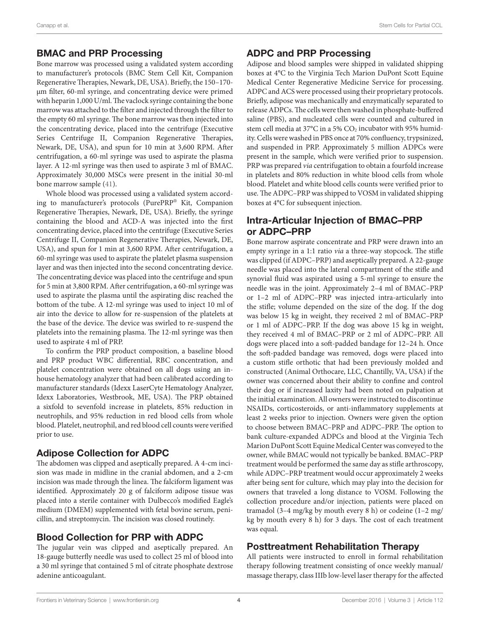# BMAC and PRP Processing

Bone marrow was processed using a validated system according to manufacturer's protocols (BMC Stem Cell Kit, Companion Regenerative Therapies, Newark, DE, USA). Briefly, the 150–170 µm filter, 60-ml syringe, and concentrating device were primed with heparin 1,000 U/ml. The vaclock syringe containing the bone marrow was attached to the filter and injected through the filter to the empty 60 ml syringe. The bone marrow was then injected into the concentrating device, placed into the centrifuge (Executive Series Centrifuge II, Companion Regenerative Therapies, Newark, DE, USA), and spun for 10 min at 3,600 RPM. After centrifugation, a 60-ml syringe was used to aspirate the plasma layer. A 12-ml syringe was then used to aspirate 3 ml of BMAC. Approximately 30,000 MSCs were present in the initial 30-ml bone marrow sample ([41\)](#page-8-21).

Whole blood was processed using a validated system according to manufacturer's protocols (PurePRP® Kit, Companion Regenerative Therapies, Newark, DE, USA). Briefly, the syringe containing the blood and ACD-A was injected into the first concentrating device, placed into the centrifuge (Executive Series Centrifuge II, Companion Regenerative Therapies, Newark, DE, USA), and spun for 1 min at 3,600 RPM. After centrifugation, a 60-ml syringe was used to aspirate the platelet plasma suspension layer and was then injected into the second concentrating device. The concentrating device was placed into the centrifuge and spun for 5 min at 3,800 RPM. After centrifugation, a 60-ml syringe was used to aspirate the plasma until the aspirating disc reached the bottom of the tube. A 12-ml syringe was used to inject 10 ml of air into the device to allow for re-suspension of the platelets at the base of the device. The device was swirled to re-suspend the platelets into the remaining plasma. The 12-ml syringe was then used to aspirate 4 ml of PRP.

To confirm the PRP product composition, a baseline blood and PRP product WBC differential, RBC concentration, and platelet concentration were obtained on all dogs using an inhouse hematology analyzer that had been calibrated according to manufacturer standards (Idexx LaserCyte Hematology Analyzer, Idexx Laboratories, Westbrook, ME, USA). The PRP obtained a sixfold to sevenfold increase in platelets, 85% reduction in neutrophils, and 95% reduction in red blood cells from whole blood. Platelet, neutrophil, and red blood cell counts were verified prior to use.

## Adipose Collection for ADPC

The abdomen was clipped and aseptically prepared. A 4-cm incision was made in midline in the cranial abdomen, and a 2-cm incision was made through the linea. The falciform ligament was identified. Approximately 20 g of falciform adipose tissue was placed into a sterile container with Dulbecco's modified Eagle's medium (DMEM) supplemented with fetal bovine serum, penicillin, and streptomycin. The incision was closed routinely.

# Blood Collection for PRP with ADPC

The jugular vein was clipped and aseptically prepared. An 18-gauge butterfly needle was used to collect 25 ml of blood into a 30 ml syringe that contained 5 ml of citrate phosphate dextrose adenine anticoagulant.

# ADPC and PRP Processing

Adipose and blood samples were shipped in validated shipping boxes at 4°C to the Virginia Tech Marion DuPont Scott Equine Medical Center Regenerative Medicine Service for processing. ADPC and ACS were processed using their proprietary protocols. Briefly, adipose was mechanically and enzymatically separated to release ADPCs. The cells were then washed in phosphate-buffered saline (PBS), and nucleated cells were counted and cultured in stem cell media at 37°C in a 5% CO<sub>2</sub> incubator with 95% humidity. Cells were washed in PBS once at 70% confluency, trypsinized, and suspended in PRP. Approximately 5 million ADPCs were present in the sample, which were verified prior to suspension. PRP was prepared *via* centrifugation to obtain a fourfold increase in platelets and 80% reduction in white blood cells from whole blood. Platelet and white blood cells counts were verified prior to use. The ADPC–PRP was shipped to VOSM in validated shipping boxes at 4°C for subsequent injection.

# Intra-Articular Injection of BMAC–PRP or ADPC–PRP

Bone marrow aspirate concentrate and PRP were drawn into an empty syringe in a 1:1 ratio *via* a three-way stopcock. The stifle was clipped (if ADPC–PRP) and aseptically prepared. A 22-gauge needle was placed into the lateral compartment of the stifle and synovial fluid was aspirated using a 5-ml syringe to ensure the needle was in the joint. Approximately 2–4 ml of BMAC–PRP or 1–2 ml of ADPC–PRP was injected intra-articularly into the stifle; volume depended on the size of the dog. If the dog was below 15 kg in weight, they received 2 ml of BMAC–PRP or 1 ml of ADPC–PRP. If the dog was above 15 kg in weight, they received 4 ml of BMAC–PRP or 2 ml of ADPC–PRP. All dogs were placed into a soft-padded bandage for 12–24 h. Once the soft-padded bandage was removed, dogs were placed into a custom stifle orthotic that had been previously molded and constructed (Animal Orthocare, LLC, Chantilly, VA, USA) if the owner was concerned about their ability to confine and control their dog or if increased laxity had been noted on palpation at the initial examination. All owners were instructed to discontinue NSAIDs, corticosteroids, or anti-inflammatory supplements at least 2 weeks prior to injection. Owners were given the option to choose between BMAC–PRP and ADPC–PRP. The option to bank culture-expanded ADPCs and blood at the Virginia Tech Marion DuPont Scott Equine Medical Center was conveyed to the owner, while BMAC would not typically be banked. BMAC–PRP treatment would be performed the same day as stifle arthroscopy, while ADPC–PRP treatment would occur approximately 2 weeks after being sent for culture, which may play into the decision for owners that traveled a long distance to VOSM. Following the collection procedure and/or injection, patients were placed on tramadol (3–4 mg/kg by mouth every 8 h) or codeine (1–2 mg/ kg by mouth every 8 h) for 3 days. The cost of each treatment was equal.

## Posttreatment Rehabilitation Therapy

All patients were instructed to enroll in formal rehabilitation therapy following treatment consisting of once weekly manual/ massage therapy, class IIIb low-level laser therapy for the affected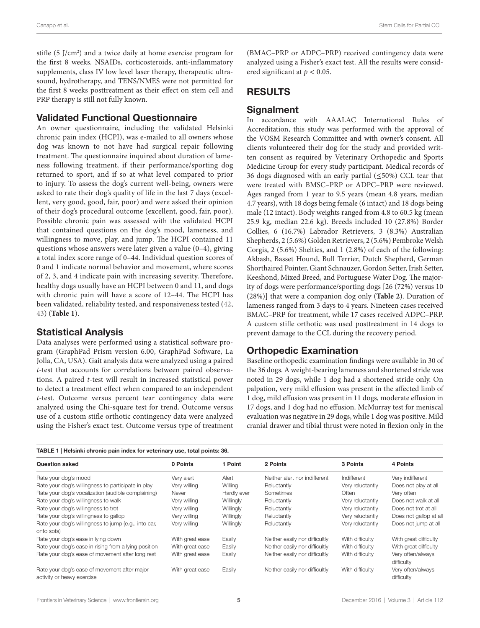stifle (5 J/cm<sup>2</sup>) and a twice daily at home exercise program for the first 8 weeks. NSAIDs, corticosteroids, anti-inflammatory supplements, class IV low level laser therapy, therapeutic ultrasound, hydrotherapy, and TENS/NMES were not permitted for the first 8 weeks posttreatment as their effect on stem cell and PRP therapy is still not fully known.

#### Validated Functional Questionnaire

An owner questionnaire, including the validated Helsinki chronic pain index (HCPI), was e-mailed to all owners whose dog was known to not have had surgical repair following treatment. The questionnaire inquired about duration of lameness following treatment, if their performance/sporting dog returned to sport, and if so at what level compared to prior to injury. To assess the dog's current well-being, owners were asked to rate their dog's quality of life in the last 7 days (excellent, very good, good, fair, poor) and were asked their opinion of their dog's procedural outcome (excellent, good, fair, poor). Possible chronic pain was assessed with the validated HCPI that contained questions on the dog's mood, lameness, and willingness to move, play, and jump. The HCPI contained 11 questions whose answers were later given a value (0–4), giving a total index score range of 0–44. Individual question scores of 0 and 1 indicate normal behavior and movement, where scores of 2, 3, and 4 indicate pain with increasing severity. Therefore, healthy dogs usually have an HCPI between 0 and 11, and dogs with chronic pain will have a score of 12–44. The HCPI has been validated, reliability tested, and responsiveness tested ([42,](#page-8-22) [43\)](#page-8-23) (**[Table 1](#page-4-0)**).

#### Statistical Analysis

Data analyses were performed using a statistical software program (GraphPad Prism version 6.00, GraphPad Software, La Jolla, CA, USA). Gait analysis data were analyzed using a paired *t*-test that accounts for correlations between paired observations. A paired *t*-test will result in increased statistical power to detect a treatment effect when compared to an independent *t*-test. Outcome versus percent tear contingency data were analyzed using the Chi-square test for trend. Outcome versus use of a custom stifle orthotic contingency data were analyzed using the Fisher's exact test. Outcome versus type of treatment

(BMAC–PRP or ADPC–PRP) received contingency data were analyzed using a Fisher's exact test. All the results were considered significant at *p* < 0.05.

## RESULTS

#### **Signalment**

In accordance with AAALAC International Rules of Accreditation, this study was performed with the approval of the VOSM Research Committee and with owner's consent. All clients volunteered their dog for the study and provided written consent as required by Veterinary Orthopedic and Sports Medicine Group for every study participant. Medical records of 36 dogs diagnosed with an early partial (≤50%) CCL tear that were treated with BMSC–PRP or ADPC–PRP were reviewed. Ages ranged from 1 year to 9.5 years (mean 4.8 years, median 4.7 years), with 18 dogs being female (6 intact) and 18 dogs being male (12 intact). Body weights ranged from 4.8 to 60.5 kg (mean 25.9 kg, median 22.6 kg). Breeds included 10 (27.8%) Border Collies, 6 (16.7%) Labrador Retrievers, 3 (8.3%) Australian Shepherds, 2 (5.6%) Golden Retrievers, 2 (5.6%) Pembroke Welsh Corgis, 2 (5.6%) Shelties, and 1 (2.8%) of each of the following: Akbash, Basset Hound, Bull Terrier, Dutch Shepherd, German Shorthaired Pointer, Giant Schnauzer, Gordon Setter, Irish Setter, Keeshond, Mixed Breed, and Portuguese Water Dog. The majority of dogs were performance/sporting dogs [26 (72%) versus 10 (28%)] that were a companion dog only (**[Table 2](#page-5-0)**). Duration of lameness ranged from 3 days to 4 years. Nineteen cases received BMAC–PRP for treatment, while 17 cases received ADPC–PRP. A custom stifle orthotic was used posttreatment in 14 dogs to prevent damage to the CCL during the recovery period.

#### Orthopedic Examination

Baseline orthopedic examination findings were available in 30 of the 36 dogs. A weight-bearing lameness and shortened stride was noted in 29 dogs, while 1 dog had a shortened stride only. On palpation, very mild effusion was present in the affected limb of 1 dog, mild effusion was present in 11 dogs, moderate effusion in 17 dogs, and 1 dog had no effusion. McMurray test for meniscal evaluation was negative in 29 dogs, while 1 dog was positive. Mild cranial drawer and tibial thrust were noted in flexion only in the

<span id="page-4-0"></span>

| TABLE 1   Helsinki chronic pain index for veterinary use, total points: 36. |                 |             |                                |                  |                                 |  |
|-----------------------------------------------------------------------------|-----------------|-------------|--------------------------------|------------------|---------------------------------|--|
| Question asked                                                              | 0 Points        | 1 Point     | 2 Points                       | 3 Points         | 4 Points                        |  |
| Rate your dog's mood                                                        | Very alert      | Alert       | Neither alert nor indifferent  | Indifferent      | Very indifferent                |  |
| Rate your dog's willingness to participate in play                          | Very willing    | Willing     | Reluctantly                    | Very reluctantly | Does not play at all            |  |
| Rate your dog's vocalization (audible complaining)                          | Never           | Hardly ever | Sometimes                      | Often            | Very often                      |  |
| Rate your dog's willingness to walk                                         | Very willing    | Willingly   | Reluctantly                    | Very reluctantly | Does not walk at all            |  |
| Rate your dog's willingness to trot                                         | Very willing    | Willingly   | Reluctantly                    | Very reluctantly | Does not trot at all            |  |
| Rate your dog's willingness to gallop                                       | Very willing    | Willingly   | Reluctantly                    | Very reluctantly | Does not gallop at al           |  |
| Rate your dog's willingness to jump (e.g., into car,<br>onto sofa)          | Very willing    | Willingly   | Reluctantly                    | Very reluctantly | Does not jump at all            |  |
| Rate your dog's ease in lying down                                          | With great ease | Easily      | Neither easily nor difficultly | With difficulty  | With great difficulty           |  |
| Rate your dog's ease in rising from a lying position                        | With great ease | Easily      | Neither easily nor difficultly | With difficulty  | With great difficulty           |  |
| Rate your dog's ease of movement after long rest                            | With great ease | Easily      | Neither easily nor difficultly | With difficulty  | Very often/always<br>difficulty |  |
| Rate your dog's ease of movement after major<br>activity or heavy exercise  | With great ease | Easily      | Neither easily nor difficultly | With difficulty  | Very often/always<br>difficulty |  |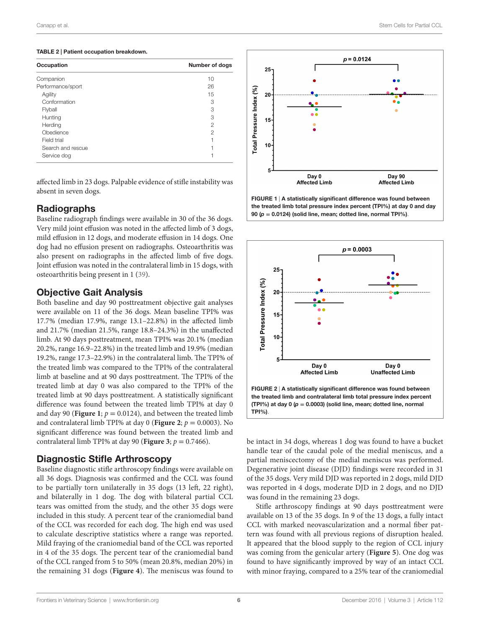#### <span id="page-5-0"></span>TABLE 2 | Patient occupation breakdown.

| Occupation        | <b>Number of dogs</b> |  |
|-------------------|-----------------------|--|
| Companion         | 10                    |  |
| Performance/sport | 26                    |  |
| Agility           | 15                    |  |
| Conformation      | 3                     |  |
| Flyball           | 3                     |  |
| Hunting           | 3                     |  |
| Herding           | 2                     |  |
| Obedience         | $\mathcal{P}$         |  |
| Field trial       |                       |  |
| Search and rescue |                       |  |
| Service dog       |                       |  |

affected limb in 23 dogs. Palpable evidence of stifle instability was absent in seven dogs.

## **Radiographs**

Baseline radiograph findings were available in 30 of the 36 dogs. Very mild joint effusion was noted in the affected limb of 3 dogs, mild effusion in 12 dogs, and moderate effusion in 14 dogs. One dog had no effusion present on radiographs. Osteoarthritis was also present on radiographs in the affected limb of five dogs. Joint effusion was noted in the contralateral limb in 15 dogs, with osteoarthritis being present in 1 [\(39\)](#page-8-19).

## Objective Gait Analysis

Both baseline and day 90 posttreatment objective gait analyses were available on 11 of the 36 dogs. Mean baseline TPI% was 17.7% (median 17.9%, range 13.1–22.8%) in the affected limb and 21.7% (median 21.5%, range 18.8–24.3%) in the unaffected limb. At 90 days posttreatment, mean TPI% was 20.1% (median 20.2%, range 16.9–22.8%) in the treated limb and 19.9% (median 19.2%, range 17.3–22.9%) in the contralateral limb. The TPI% of the treated limb was compared to the TPI% of the contralateral limb at baseline and at 90 days posttreatment. The TPI% of the treated limb at day 0 was also compared to the TPI% of the treated limb at 90 days posttreatment. A statistically significant difference was found between the treated limb TPI% at day 0 and day 90 (**[Figure 1](#page-5-1)**;  $p = 0.0124$ ), and between the treated limb and contralateral limb TPI% at day 0 (**[Figure 2](#page-5-2)**;  $p = 0.0003$ ). No significant difference was found between the treated limb and contralateral limb TPI% at day 90 (**[Figure 3](#page-6-0)**;  $p = 0.7466$ ).

## Diagnostic Stifle Arthroscopy

Baseline diagnostic stifle arthroscopy findings were available on all 36 dogs. Diagnosis was confirmed and the CCL was found to be partially torn unilaterally in 35 dogs (13 left, 22 right), and bilaterally in 1 dog. The dog with bilateral partial CCL tears was omitted from the study, and the other 35 dogs were included in this study. A percent tear of the craniomedial band of the CCL was recorded for each dog. The high end was used to calculate descriptive statistics where a range was reported. Mild fraying of the craniomedial band of the CCL was reported in 4 of the 35 dogs. The percent tear of the craniomedial band of the CCL ranged from 5 to 50% (mean 20.8%, median 20%) in the remaining 31 dogs (**[Figure 4](#page-6-1)**). The meniscus was found to



<span id="page-5-1"></span>FIGURE 1 | A statistically significant difference was found between the treated limb total pressure index percent (TPI%) at day 0 and day 90 (*p* **=** 0.0124) (solid line, mean; dotted line, normal TPI%).



<span id="page-5-2"></span>be intact in 34 dogs, whereas 1 dog was found to have a bucket handle tear of the caudal pole of the medial meniscus, and a partial meniscectomy of the medial meniscus was performed. Degenerative joint disease (DJD) findings were recorded in 31 of the 35 dogs. Very mild DJD was reported in 2 dogs, mild DJD was reported in 4 dogs, moderate DJD in 2 dogs, and no DJD was found in the remaining 23 dogs.

Stifle arthroscopy findings at 90 days posttreatment were available on 13 of the 35 dogs. In 9 of the 13 dogs, a fully intact CCL with marked neovascularization and a normal fiber pattern was found with all previous regions of disruption healed. It appeared that the blood supply to the region of CCL injury was coming from the genicular artery (**[Figure 5](#page-6-2)**). One dog was found to have significantly improved by way of an intact CCL with minor fraying, compared to a 25% tear of the craniomedial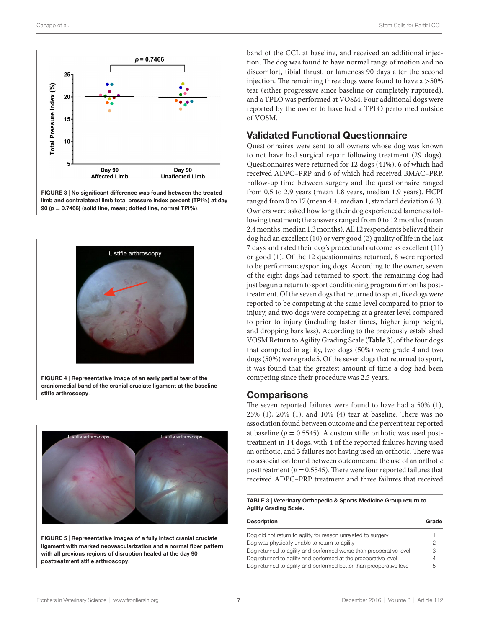

<span id="page-6-0"></span>

<span id="page-6-1"></span>FIGURE 4 | Representative image of an early partial tear of the craniomedial band of the cranial cruciate ligament at the baseline stifle arthroscopy.



<span id="page-6-2"></span>FIGURE 5 | Representative images of a fully intact cranial cruciate ligament with marked neovascularization and a normal fiber pattern with all previous regions of disruption healed at the day 90 posttreatment stifle arthroscopy.

band of the CCL at baseline, and received an additional injection. The dog was found to have normal range of motion and no discomfort, tibial thrust, or lameness 90 days after the second injection. The remaining three dogs were found to have a >50% tear (either progressive since baseline or completely ruptured), and a TPLO was performed at VOSM. Four additional dogs were reported by the owner to have had a TPLO performed outside of VOSM.

#### Validated Functional Questionnaire

Questionnaires were sent to all owners whose dog was known to not have had surgical repair following treatment (29 dogs). Questionnaires were returned for 12 dogs (41%), 6 of which had received ADPC–PRP and 6 of which had received BMAC–PRP. Follow-up time between surgery and the questionnaire ranged from 0.5 to 2.9 years (mean 1.8 years, median 1.9 years). HCPI ranged from 0 to 17 (mean 4.4, median 1, standard deviation 6.3). Owners were asked how long their dog experienced lameness following treatment; the answers ranged from 0 to 12 months (mean 2.4 months, median 1.3 months). All 12 respondents believed their dog had an excellent [\(10](#page-8-0)) or very good ([2](#page-7-5)) quality of life in the last 7 days and rated their dog's procedural outcome as excellent ([11\)](#page-8-24) or good [\(1\)](#page-7-0). Of the 12 questionnaires returned, 8 were reported to be performance/sporting dogs. According to the owner, seven of the eight dogs had returned to sport; the remaining dog had just begun a return to sport conditioning program 6 months posttreatment. Of the seven dogs that returned to sport, five dogs were reported to be competing at the same level compared to prior to injury, and two dogs were competing at a greater level compared to prior to injury (including faster times, higher jump height, and dropping bars less). According to the previously established VOSM Return to Agility Grading Scale (**[Table 3](#page-6-3)**), of the four dogs that competed in agility, two dogs (50%) were grade 4 and two dogs (50%) were grade 5. Of the seven dogs that returned to sport, it was found that the greatest amount of time a dog had been competing since their procedure was 2.5 years.

#### **Comparisons**

The seven reported failures were found to have had a 50% ([1](#page-7-0)), 25% [\(1\)](#page-7-0), 20% [\(1\)](#page-7-0), and 10% ([4](#page-7-2)) tear at baseline. There was no association found between outcome and the percent tear reported at baseline ( $p = 0.5545$ ). A custom stifle orthotic was used posttreatment in 14 dogs, with 4 of the reported failures having used an orthotic, and 3 failures not having used an orthotic. There was no association found between outcome and the use of an orthotic posttreatment ( $p = 0.5545$ ). There were four reported failures that received ADPC–PRP treatment and three failures that received

#### <span id="page-6-3"></span>TABLE 3 | Veterinary Orthopedic & Sports Medicine Group return to Agility Grading Scale.

| <b>Description</b>                                                   | Grade |
|----------------------------------------------------------------------|-------|
| Dog did not return to agility for reason unrelated to surgery        |       |
| Dog was physically unable to return to agility                       | 2     |
| Dog returned to agility and performed worse than preoperative level  | З     |
| Dog returned to agility and performed at the preoperative level      |       |
| Dog returned to agility and performed better than preoperative level | 5     |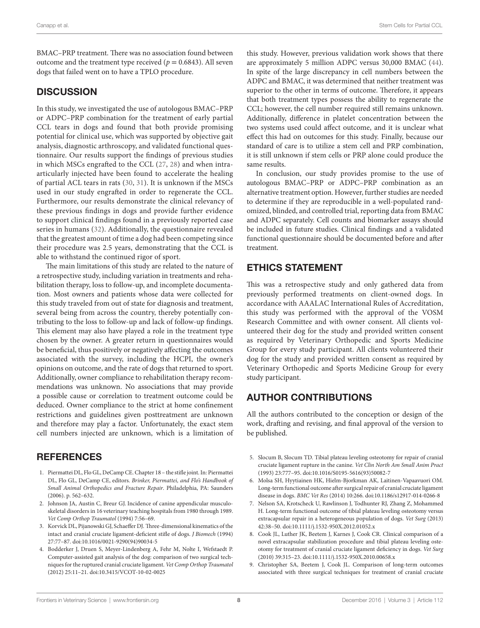BMAC–PRP treatment. There was no association found between outcome and the treatment type received ( $p = 0.6843$ ). All seven dogs that failed went on to have a TPLO procedure.

# **DISCUSSION**

In this study, we investigated the use of autologous BMAC–PRP or ADPC–PRP combination for the treatment of early partial CCL tears in dogs and found that both provide promising potential for clinical use, which was supported by objective gait analysis, diagnostic arthroscopy, and validated functional questionnaire. Our results support the findings of previous studies in which MSCs engrafted to the CCL ([27,](#page-8-9) [28](#page-8-10)) and when intraarticularly injected have been found to accelerate the healing of partial ACL tears in rats [\(30,](#page-8-12) [31\)](#page-8-13). It is unknown if the MSCs used in our study engrafted in order to regenerate the CCL. Furthermore, our results demonstrate the clinical relevancy of these previous findings in dogs and provide further evidence to support clinical findings found in a previously reported case series in humans ([32\)](#page-8-14). Additionally, the questionnaire revealed that the greatest amount of time a dog had been competing since their procedure was 2.5 years, demonstrating that the CCL is able to withstand the continued rigor of sport.

The main limitations of this study are related to the nature of a retrospective study, including variation in treatments and rehabilitation therapy, loss to follow-up, and incomplete documentation. Most owners and patients whose data were collected for this study traveled from out of state for diagnosis and treatment, several being from across the country, thereby potentially contributing to the loss to follow-up and lack of follow-up findings. This element may also have played a role in the treatment type chosen by the owner. A greater return in questionnaires would be beneficial, thus positively or negatively affecting the outcomes associated with the survey, including the HCPI, the owner's opinions on outcome, and the rate of dogs that returned to sport. Additionally, owner compliance to rehabilitation therapy recommendations was unknown. No associations that may provide a possible cause or correlation to treatment outcome could be deduced. Owner compliance to the strict at home confinement restrictions and guidelines given posttreatment are unknown and therefore may play a factor. Unfortunately, the exact stem cell numbers injected are unknown, which is a limitation of

# **REFERENCES**

- <span id="page-7-0"></span>1. Piermattei DL, Flo GL, DeCamp CE. Chapter 18 – the stifle joint. In: Piermattei DL, Flo GL, DeCamp CE, editors. *Brinker, Piermattei, and Flo's Handbook of Small Animal Orthopedics and Fracture Repair*. Philadelphia, PA: Saunders (2006). p. 562–632.
- <span id="page-7-5"></span>2. Johnson JA, Austin C, Breur GJ. Incidence of canine appendicular musculoskeletal disorders in 16 veterinary teaching hospitals from 1980 through 1989. *Vet Comp Orthop Traumatol* (1994) 7:56–69.
- <span id="page-7-1"></span>3. Korvick DL, Pijanowski GJ, Schaeffer DJ. Three-dimensional kinematics of the intact and cranial cruciate ligament-deficient stifle of dogs. *J Biomech* (1994) 27:77–87. doi[:10.1016/0021-9290\(94\)90034-5](https://doi.org/10.1016/0021-9290(94)90034-5)
- <span id="page-7-2"></span>4. Bodderker J, Druen S, Meyer-Lindenberg A, Fehr M, Nolte I, Wefstaedt P. Computer-assisted gait analysis of the dog: comparison of two surgical techniques for the ruptured cranial cruciate ligament. *Vet Comp Orthop Traumatol* (2012) 25:11–21. doi:[10.3415/VCOT-10-02-0025](https://doi.org/10.3415/VCOT-10-02-0025)

this study. However, previous validation work shows that there are approximately 5 million ADPC versus 30,000 BMAC [\(44](#page-8-25)). In spite of the large discrepancy in cell numbers between the ADPC and BMAC, it was determined that neither treatment was superior to the other in terms of outcome. Therefore, it appears that both treatment types possess the ability to regenerate the CCL; however, the cell number required still remains unknown. Additionally, difference in platelet concentration between the two systems used could affect outcome, and it is unclear what effect this had on outcomes for this study. Finally, because our standard of care is to utilize a stem cell and PRP combination, it is still unknown if stem cells or PRP alone could produce the same results.

In conclusion, our study provides promise to the use of autologous BMAC–PRP or ADPC–PRP combination as an alternative treatment option. However, further studies are needed to determine if they are reproducible in a well-populated randomized, blinded, and controlled trial, reporting data from BMAC and ADPC separately. Cell counts and biomarker assays should be included in future studies. Clinical findings and a validated functional questionnaire should be documented before and after treatment.

# ETHICS STATEMENT

This was a retrospective study and only gathered data from previously performed treatments on client-owned dogs. In accordance with AAALAC International Rules of Accreditation, this study was performed with the approval of the VOSM Research Committee and with owner consent. All clients volunteered their dog for the study and provided written consent as required by Veterinary Orthopedic and Sports Medicine Group for every study participant. All clients volunteered their dog for the study and provided written consent as required by Veterinary Orthopedic and Sports Medicine Group for every study participant.

# AUTHOR CONTRIBUTIONS

All the authors contributed to the conception or design of the work, drafting and revising, and final approval of the version to be published.

- 5. Slocum B, Slocum TD. Tibial plateau leveling osteotomy for repair of cranial cruciate ligament rupture in the canine. *Vet Clin North Am Small Anim Pract* (1993) 23:777–95. doi[:10.1016/S0195-5616\(93\)50082-7](https://doi.org/10.1016/S0195-5616(93)50082-7)
- <span id="page-7-4"></span>6. Molsa SH, Hyytiainen HK, Hielm-Bjorkman AK, Laitinen-Vapaavuori OM. Long-term functional outcome after surgical repair of cranial cruciate ligament disease in dogs. *BMC Vet Res* (2014) 10:266. doi[:10.1186/s12917-014-0266-8](https://doi.org/10.1186/s12917-014-0266-8)
- 7. Nelson SA, Krotscheck U, Rawlinson J, Todhunter RJ, Zhang Z, Mohammed H. Long-term functional outcome of tibial plateau leveling osteotomy versus extracapsular repair in a heterogeneous population of dogs. *Vet Surg* (2013) 42:38–50. doi[:10.1111/j.1532-950X.2012.01052.x](https://doi.org/10.1111/j.1532-950X.2012.01052.x)
- 8. Cook JL, Luther JK, Beetem J, Karnes J, Cook CR. Clinical comparison of a novel extracapsular stabilization procedure and tibial plateau leveling osteotomy for treatment of cranial cruciate ligament deficiency in dogs. *Vet Surg* (2010) 39:315–23. doi[:10.1111/j.1532-950X.2010.00658.x](https://doi.org/10.1111/j.1532-950X.2010.00658.x)
- <span id="page-7-3"></span>9. Christopher SA, Beetem J, Cook JL. Comparison of long-term outcomes associated with three surgical techniques for treatment of cranial cruciate